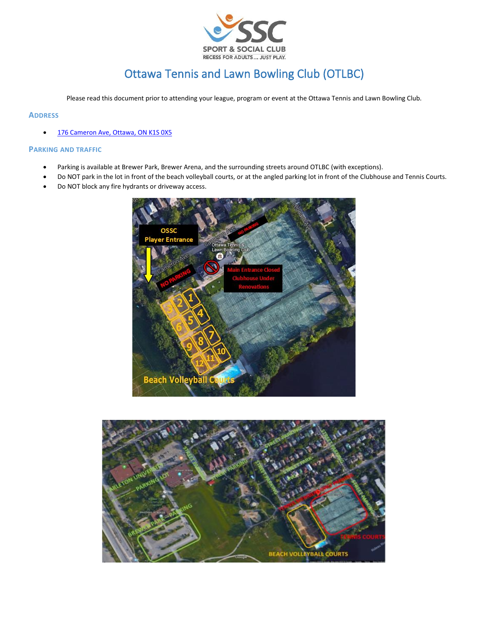

# Ottawa Tennis and Lawn Bowling Club (OTLBC)

Please read this document prior to attending your league, program or event at the Ottawa Tennis and Lawn Bowling Club.

# **ADDRESS**

• [176 Cameron Ave, Ottawa, ON K1S 0X5](https://www.google.com/maps/place/176+Cameron+Ave,+Ottawa,+ON+K1S+0X5/data=!4m2!3m1!1s0x4cce05e75d095be9:0xf6d9fa796770ca3c?sa=X&ved=2ahUKEwjQpbCx-sr3AhWpAp0JHS0pDSwQ8gF6BAgKEAE)

#### **PARKING AND TRAFFIC**

- Parking is available at Brewer Park, Brewer Arena, and the surrounding streets around OTLBC (with exceptions).
- Do NOT park in the lot in front of the beach volleyball courts, or at the angled parking lot in front of the Clubhouse and Tennis Courts.
- Do NOT block any fire hydrants or driveway access.